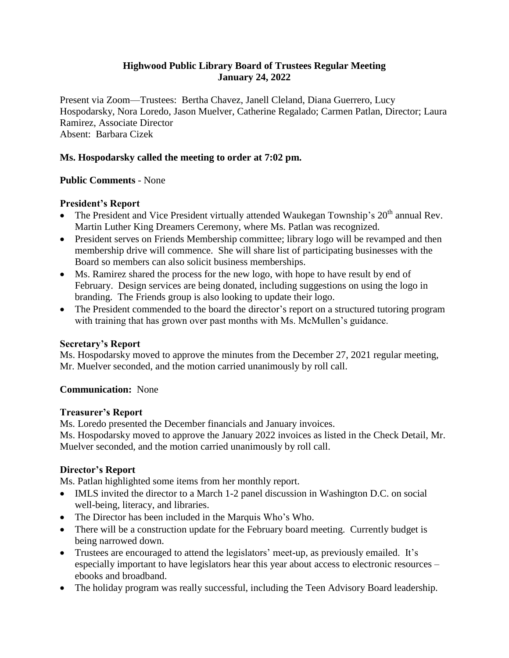# **Highwood Public Library Board of Trustees Regular Meeting January 24, 2022**

Present via Zoom—Trustees: Bertha Chavez, Janell Cleland, Diana Guerrero, Lucy Hospodarsky, Nora Loredo, Jason Muelver, Catherine Regalado; Carmen Patlan, Director; Laura Ramirez, Associate Director Absent: Barbara Cizek

# **Ms. Hospodarsky called the meeting to order at 7:02 pm.**

### **Public Comments** - None

### **President's Report**

- The President and Vice President virtually attended Waukegan Township's  $20<sup>th</sup>$  annual Rev. Martin Luther King Dreamers Ceremony, where Ms. Patlan was recognized.
- President serves on Friends Membership committee; library logo will be revamped and then membership drive will commence. She will share list of participating businesses with the Board so members can also solicit business memberships.
- Ms. Ramirez shared the process for the new logo, with hope to have result by end of February. Design services are being donated, including suggestions on using the logo in branding. The Friends group is also looking to update their logo.
- The President commended to the board the director's report on a structured tutoring program with training that has grown over past months with Ms. McMullen's guidance.

#### **Secretary's Report**

Ms. Hospodarsky moved to approve the minutes from the December 27, 2021 regular meeting, Mr. Muelver seconded, and the motion carried unanimously by roll call.

#### **Communication:** None

#### **Treasurer's Report**

Ms. Loredo presented the December financials and January invoices.

Ms. Hospodarsky moved to approve the January 2022 invoices as listed in the Check Detail, Mr. Muelver seconded, and the motion carried unanimously by roll call.

#### **Director's Report**

Ms. Patlan highlighted some items from her monthly report.

- IMLS invited the director to a March 1-2 panel discussion in Washington D.C. on social well-being, literacy, and libraries.
- The Director has been included in the Marquis Who's Who.
- There will be a construction update for the February board meeting. Currently budget is being narrowed down.
- Trustees are encouraged to attend the legislators' meet-up, as previously emailed. It's especially important to have legislators hear this year about access to electronic resources – ebooks and broadband.
- The holiday program was really successful, including the Teen Advisory Board leadership.